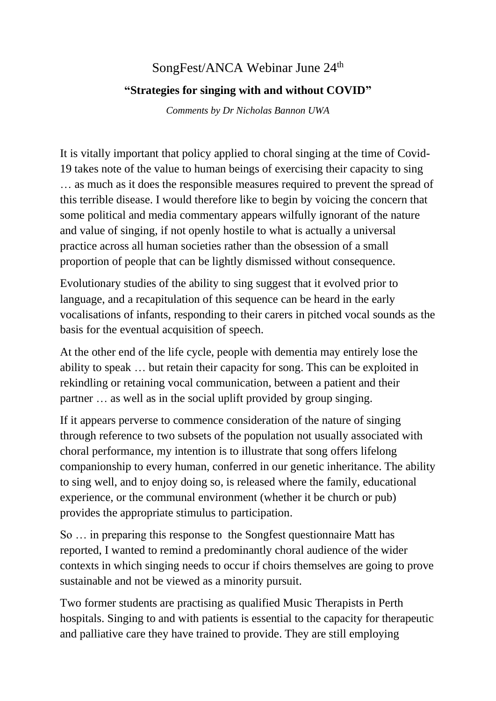## SongFest/ANCA Webinar June 24<sup>th</sup> **"Strategies for singing with and without COVID"**

*Comments by Dr Nicholas Bannon UWA*

It is vitally important that policy applied to choral singing at the time of Covid-19 takes note of the value to human beings of exercising their capacity to sing … as much as it does the responsible measures required to prevent the spread of this terrible disease. I would therefore like to begin by voicing the concern that some political and media commentary appears wilfully ignorant of the nature and value of singing, if not openly hostile to what is actually a universal practice across all human societies rather than the obsession of a small proportion of people that can be lightly dismissed without consequence.

Evolutionary studies of the ability to sing suggest that it evolved prior to language, and a recapitulation of this sequence can be heard in the early vocalisations of infants, responding to their carers in pitched vocal sounds as the basis for the eventual acquisition of speech.

At the other end of the life cycle, people with dementia may entirely lose the ability to speak … but retain their capacity for song. This can be exploited in rekindling or retaining vocal communication, between a patient and their partner … as well as in the social uplift provided by group singing.

If it appears perverse to commence consideration of the nature of singing through reference to two subsets of the population not usually associated with choral performance, my intention is to illustrate that song offers lifelong companionship to every human, conferred in our genetic inheritance. The ability to sing well, and to enjoy doing so, is released where the family, educational experience, or the communal environment (whether it be church or pub) provides the appropriate stimulus to participation.

So … in preparing this response to the Songfest questionnaire Matt has reported, I wanted to remind a predominantly choral audience of the wider contexts in which singing needs to occur if choirs themselves are going to prove sustainable and not be viewed as a minority pursuit.

Two former students are practising as qualified Music Therapists in Perth hospitals. Singing to and with patients is essential to the capacity for therapeutic and palliative care they have trained to provide. They are still employing